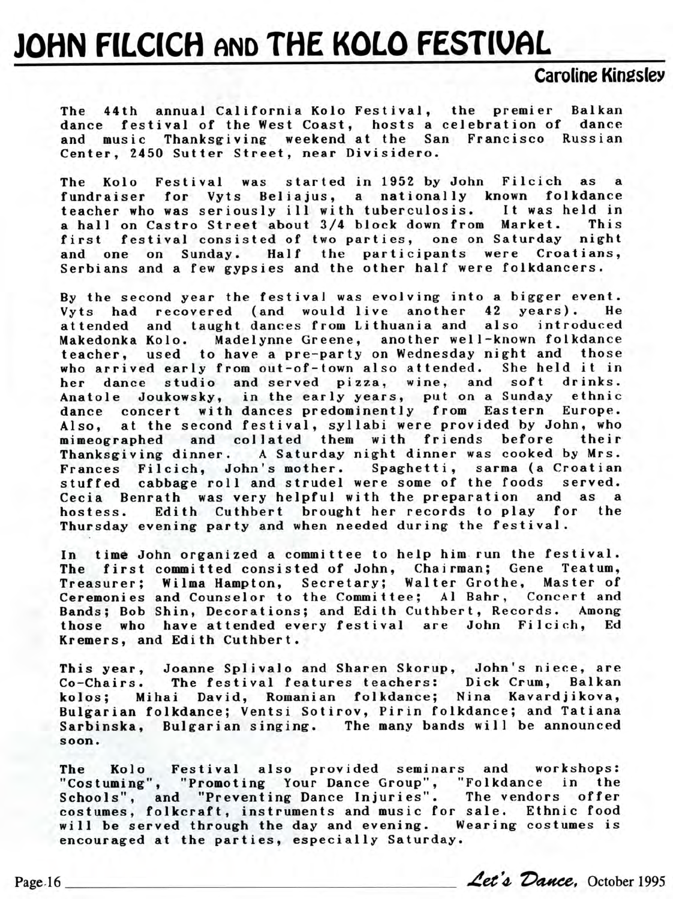## JOHN FILCICH AND THE KOLO FESTIVAL

## Caroline Kingslev

The 44th annual California Kolo Festival, the premier Balkan dance festival of the West Coast, hosts a celebration of dance and music Thanksgiving weekend at the San Francisco Russian Center, 2450 Sutter Street, near Divisidero.

The Kolo Festival was started in 1952 by John Filcich as a fundraiser for Vyts Beliajus, a nationally known folkdance teacher who was seriously ill with tuberculosis. It was held in a hall on Castro Street about 3/4 block down from Market. This first festival consisted of two parties, one on Saturday night and one on Sunday. Half the participants were Croatians, Serbians and a few gypsies and the other half were folkdancers.

By the second year the festival was evolving into a bigger event. Vyts had recovered (and would live another 42 years). He attended and taught dances from Lithuania and also introduced Makedonka Kolo. Madelynne Greene, another well-known folkdance teacher, used to have a pre-party on Wednesday night and those who arrived early from out-of-town also attended. She held it in her dance studio and served pizza, wine, and soft drinks. Anatole Joukowsky, in the early years, put on a Sunday ethnic dance concert with dances predominently from Eastern Europe. Also, at the second festival, syllabi were provided by John, who mimeographed and collated them with friends before their Thanksgiving dinner. A Saturday night dinner was cooked by Mrs. Frances Filcich, John's mother. Spaghetti, sarma (a Croatian stuffed cabbage roll and strudel were some of the foods served. Cecia Benrath was very helpful with the preparation and as a hostess. Edith Cuthbert brought her records to play for the Thursday evening party and when needed during the festival.

In time John organized a committee to help him run the festival. The first committed consisted of John, Chairman; Gene Teatum, Treasurer; Wilma Hampton, Secretary; Walter Grothe, Master of Ceremonies and Counselor to the Committee; Al Bahr , Concert and Bands; Bob Shin, Decorations; and Edith Cuthbert, Records. Among those who have attended every festival are John Filcich, Ed Kremers, and Edith Cuthbert.

This year, Joanne Splivalo and Sharen Skorup, John's niece, are Co-Chairs. The festival features teachers: Dick Crum, Balkan kolos; Mihai David, Romanian folkdance; Nina Kavardjikova, Bulgarian folkdance; Ventsi Sotirov, Pirin folkdance; and Tatiana Sarbinska, Bulgarian singing. The many bands will be announced soon.

The Kolo Festival also provided seminars and workshops: "Costuming", "Promoting Your Dance Group", "Folkdance in the Schools", and "Preventing Dance Injuries". The vendors offer costumes, folkcraft, instruments and music for sale. Ethnic food will be served through the day and evening. Wearing costumes is encouraged at the parties, especially Saturday. "Costuming", "Promoting Your Dance Group", "Folkdance in the<br>Schools", and "Preventing Dance Injuries". The vendors offer<br>costumes, folkcraft, instruments and music for sale. Ethnic food<br>will be served through the day and